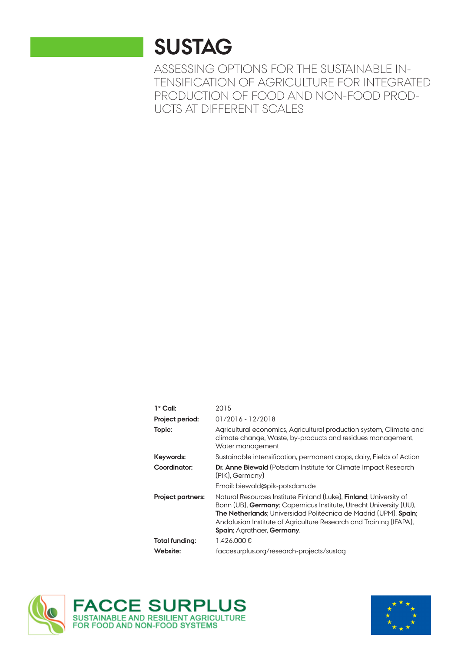## **SUSTAG**

ASSESSING OPTIONS FOR THE SUSTAINABLE IN-TENSIFICATION OF AGRICULTURE FOR INTEGRATED PRODUCTION OF FOOD AND NON-FOOD PROD-UCTS AT DIFFERENT SCALES

| 1° Call:                 | 2015                                                                                                                                                                                                                                                                                                                     |
|--------------------------|--------------------------------------------------------------------------------------------------------------------------------------------------------------------------------------------------------------------------------------------------------------------------------------------------------------------------|
| Project period:          | $01/2016 - 12/2018$                                                                                                                                                                                                                                                                                                      |
| Topic:                   | Agricultural economics, Agricultural production system, Climate and<br>climate change, Waste, by-products and residues management,<br>Water management                                                                                                                                                                   |
| Keywords:                | Sustainable intensification, permanent crops, dairy, Fields of Action                                                                                                                                                                                                                                                    |
| Coordinator:             | <b>Dr. Anne Biewald</b> (Potsdam Institute for Climate Impact Research<br>(PIK), Germany)                                                                                                                                                                                                                                |
|                          | Email: biewald@pik-potsdam.de                                                                                                                                                                                                                                                                                            |
| <b>Project partners:</b> | Natural Resources Institute Finland (Luke), <b>Finland</b> ; University of<br>Bonn (UB), Germany; Copernicus Institute, Utrecht University (UU),<br>The Netherlands; Universidad Politécnica de Madrid (UPM), Spain;<br>Andalusian Institute of Agriculture Research and Training (IFAPA),<br>Spain; Agrathaer, Germany. |
| Total funding:           | 1.426.000€                                                                                                                                                                                                                                                                                                               |
| Website:                 | faccesurplus.org/research-projects/sustag                                                                                                                                                                                                                                                                                |